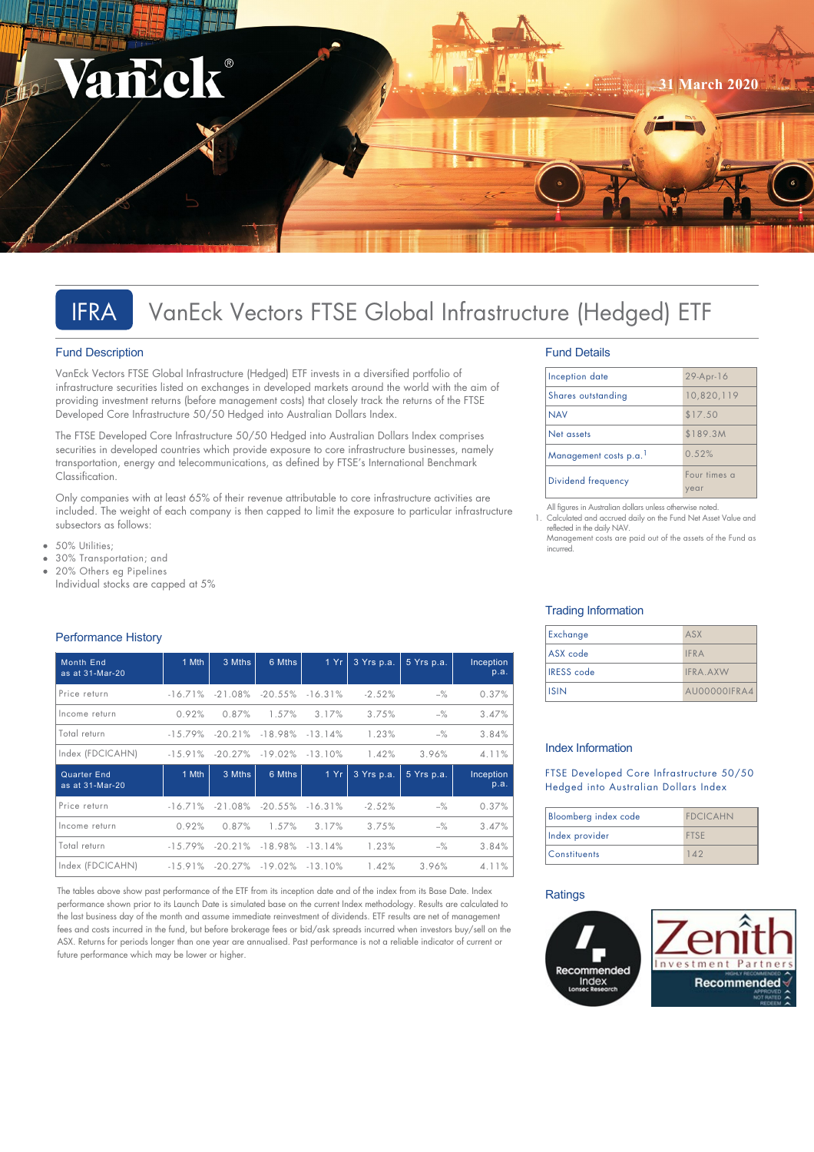

# IFRA VanEck Vectors FTSE Global Infrastructure (Hedged) ETF

### Fund Description

VanEck Vectors FTSE Global Infrastructure (Hedged) ETF invests in a diversified portfolio of infrastructure securities listed on exchanges in developed markets around the world with the aim of providing investment returns (before management costs) that closely track the returns of the FTSE Developed Core Infrastructure 50/50 Hedged into Australian Dollars Index.

The FTSE Developed Core Infrastructure 50/50 Hedged into Australian Dollars Index comprises securities in developed countries which provide exposure to core infrastructure businesses, namely transportation, energy and telecommunications, as defined by FTSE's International Benchmark Classification.

Only companies with at least 65% of their revenue attributable to core infrastructure activities are included. The weight of each company is then capped to limit the exposure to particular infrastructure subsectors as follows:

- 50% Utilities;  $\bullet$
- 30% Transportation; and
- 20% Others eg Pipelines Individual stocks are capped at 5%

### Performance History

| <b>Month End</b><br>as at 31-Mar-20 | 1 Mth      | 3 Mths     | 6 Mths                | 1Yr        | 3 Yrs p.a. | 5 Yrs p.a. | Inception<br>p.a. |
|-------------------------------------|------------|------------|-----------------------|------------|------------|------------|-------------------|
| Price return                        | $-16.71%$  |            | $-21.08\%$ $-20.55\%$ | $-16.31%$  | $-2.52%$   | $-$ %      | 0.37%             |
| Income return                       | 0.92%      | 0.87%      | 1.57%                 | 3.17%      | 3.75%      | $-$ %      | 3.47%             |
| Total return                        | $-15.79\%$ | $-20.21%$  | $-18.98\%$            | $-13.14%$  | 1.23%      | $-$ %      | 3.84%             |
| Index (FDCICAHN)                    | $-15.91%$  | $-20.27\%$ | $-19.02\%$            | $-13.10\%$ | 1.42%      | 3.96%      | 4.11%             |
| Quarter End                         |            |            |                       |            |            |            |                   |
| as at 31-Mar-20                     | 1 Mth      | 3 Mths     | 6 Mths                | 1 Yr       | 3 Yrs p.a. | 5 Yrs p.a. | Inception<br>p.a. |
| Price return                        | $-16.71%$  | $-21.08\%$ | $-20.55\%$            | $-16.31%$  | $-2.52%$   | $-$ %      | 0.37%             |
| Income return                       | 0.92%      | 0.87%      | 1.57%                 | 3.17%      | 3.75%      | $-$ %      | 3.47%             |
| Total return                        | $-15.79\%$ |            | $-20.21\% -18.98\%$   | $-13.14\%$ | 1.23%      | $-$ %      | 3.84%             |

The tables above show past performance of the ETF from its inception date and of the index from its Base Date. Index performance shown prior to its Launch Date is simulated base on the current Index methodology. Results are calculated to the last business day of the month and assume immediate reinvestment of dividends. ETF results are net of management fees and costs incurred in the fund, but before brokerage fees or bid/ask spreads incurred when investors buy/sell on the ASX. Returns for periods longer than one year are annualised. Past performance is not a reliable indicator of current or future performance which may be lower or higher.

### Fund Details

| Inception date                     | 29-Apr-16            |
|------------------------------------|----------------------|
| Shares outstanding                 | 10,820,119           |
| <b>NAV</b>                         | \$17.50              |
| Net assets                         | \$189.3M             |
| Management costs p.a. <sup>1</sup> | 0.52%                |
| Dividend frequency                 | Four times a<br>vear |

All figures in Australian dollars unless otherwise noted. 1. Calculated and accrued daily on the Fund Net Asset Value and reflected in the daily NAV. Management costs are paid out of the assets of the Fund as

incurred.

### Trading Information

| Exchange          | ASX             |
|-------------------|-----------------|
| ASX code          | <b>IFRA</b>     |
| <b>IRESS</b> code | <b>IFRA.AXW</b> |
| lisin             | AU00000IFRA4    |

#### Index Information

FTSE Developed Core Infrastructure 50/50 Hedged into Australian Dollars Index

| Bloomberg index code | <b>FDCICAHN</b> |
|----------------------|-----------------|
| Index provider       | <b>FTSF</b>     |
| Constituents         |                 |

### **Ratings**